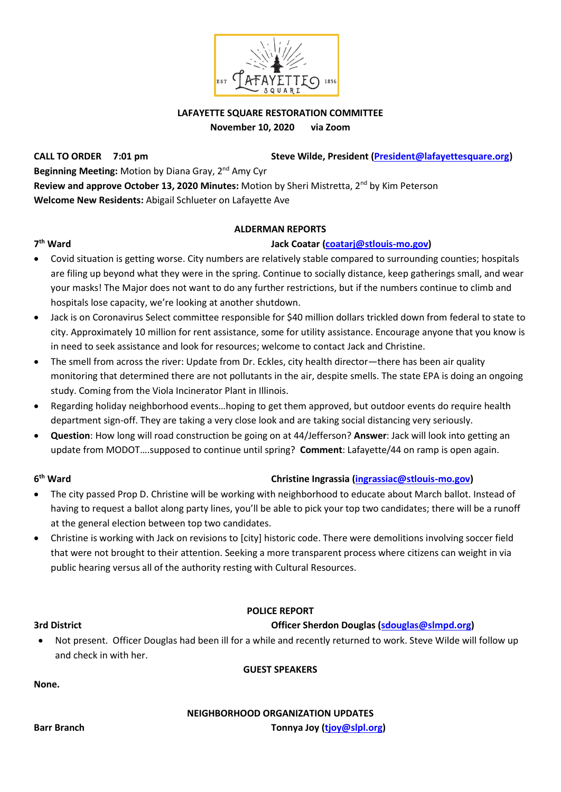

# **LAFAYETTE SQUARE RESTORATION COMMITTEE**

**November 10, 2020 via Zoom**

**CALL TO ORDER** 7:01 pm Steve Wilde, President (President @lafayettesquare.org) **Beginning Meeting:** Motion by Diana Gray, 2<sup>nd</sup> Amy Cyr Review and approve October 13, 2020 Minutes: Motion by Sheri Mistretta, 2<sup>nd</sup> by Kim Peterson **Welcome New Residents:** Abigail Schlueter on Lafayette Ave

### **ALDERMAN REPORTS**

### **th Ward Jack Coatar [\(coatarj@stlouis-mo.gov\)](mailto:coatarj@stlouis-mo.gov)**

# 7<sup>th</sup> Ward

- Covid situation is getting worse. City numbers are relatively stable compared to surrounding counties; hospitals are filing up beyond what they were in the spring. Continue to socially distance, keep gatherings small, and wear your masks! The Major does not want to do any further restrictions, but if the numbers continue to climb and hospitals lose capacity, we're looking at another shutdown.
- Jack is on Coronavirus Select committee responsible for \$40 million dollars trickled down from federal to state to city. Approximately 10 million for rent assistance, some for utility assistance. Encourage anyone that you know is in need to seek assistance and look for resources; welcome to contact Jack and Christine.
- The smell from across the river: Update from Dr. Eckles, city health director—there has been air quality monitoring that determined there are not pollutants in the air, despite smells. The state EPA is doing an ongoing study. Coming from the Viola Incinerator Plant in Illinois.
- Regarding holiday neighborhood events…hoping to get them approved, but outdoor events do require health department sign-off. They are taking a very close look and are taking social distancing very seriously.
- **Question**: How long will road construction be going on at 44/Jefferson? **Answer**: Jack will look into getting an update from MODOT….supposed to continue until spring? **Comment**: Lafayette/44 on ramp is open again.

### $6<sup>th</sup>$  Ward

# **th Ward Christine Ingrassia [\(ingrassiac@stlouis-mo.gov\)](mailto:ingrassiac@stlouis-mo.gov)**

- The city passed Prop D. Christine will be working with neighborhood to educate about March ballot. Instead of having to request a ballot along party lines, you'll be able to pick your top two candidates; there will be a runoff at the general election between top two candidates.
- Christine is working with Jack on revisions to [city] historic code. There were demolitions involving soccer field that were not brought to their attention. Seeking a more transparent process where citizens can weight in via public hearing versus all of the authority resting with Cultural Resources.

# **POLICE REPORT**

# **3rd District Officer Sherdon Douglas [\(sdouglas@slmpd.org\)](mailto:sdouglas@slmpd.org)**

• Not present. Officer Douglas had been ill for a while and recently returned to work. Steve Wilde will follow up and check in with her.

**GUEST SPEAKERS**

# **None.**

# **NEIGHBORHOOD ORGANIZATION UPDATES**

**Barr Branch Tonnya Joy [\(tjoy@slpl.org\)](mailto:tjoy@slpl.org)**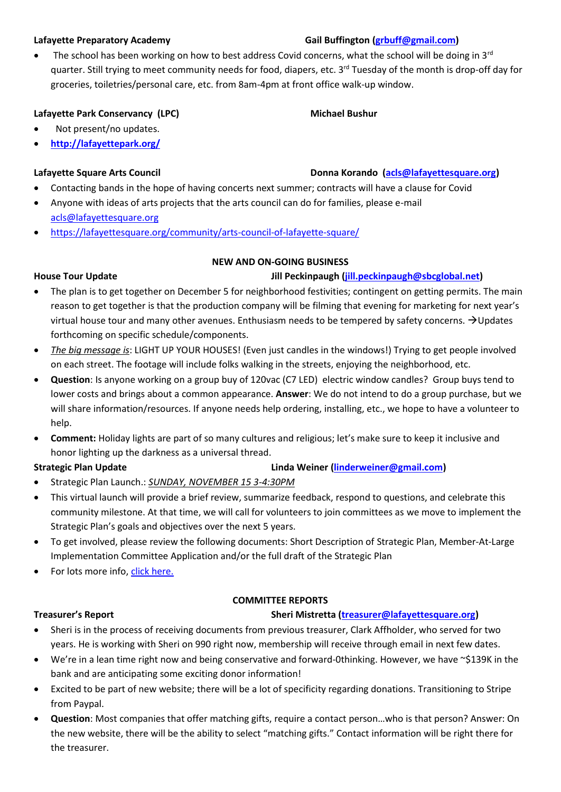### **Call Buffington [\(grbuff@gmail.com\)](mailto:grbuff@gmail.com) Lafayette Preparatory Academy Gail Buffington (grbuff@gmail.com)**

The school has been working on how to best address Covid concerns, what the school will be doing in  $3<sup>rd</sup>$ quarter. Still trying to meet community needs for food, diapers, etc. 3<sup>rd</sup> Tuesday of the month is drop-off day for groceries, toiletries/personal care, etc. from 8am-4pm at front office walk-up window.

# Lafayette Park Conservancy (LPC) Michael Bushur

- Not present/no updates.
- **<http://lafayettepark.org/>**

# **Lafayette Square Arts Council Donna Korando [\(acls@lafayettesquare.org\)](mailto:acls@lafayettesquare.org)**

- Contacting bands in the hope of having concerts next summer; contracts will have a clause for Covid
- Anyone with ideas of arts projects that the arts council can do for families, please e-mail [acls@lafayettesquare.org](mailto:acls@lafayettesquare.org)
- <https://lafayettesquare.org/community/arts-council-of-lafayette-square/>

### **NEW AND ON-GOING BUSINESS**

# **House Tour Update Jill Peckinpaugh [\(jill.peckinpaugh@sbcglobal.net\)](mailto:jill.peckinpaugh@sbcglobal.net)**

- The plan is to get together on December 5 for neighborhood festivities; contingent on getting permits. The main reason to get together is that the production company will be filming that evening for marketing for next year's virtual house tour and many other avenues. Enthusiasm needs to be tempered by safety concerns. →Updates forthcoming on specific schedule/components.
- *The big message is*: LIGHT UP YOUR HOUSES! (Even just candles in the windows!) Trying to get people involved on each street. The footage will include folks walking in the streets, enjoying the neighborhood, etc.
- **Question**: Is anyone working on a group buy of 120vac (C7 LED) electric window candles? Group buys tend to lower costs and brings about a common appearance. **Answer**: We do not intend to do a group purchase, but we will share information/resources. If anyone needs help ordering, installing, etc., we hope to have a volunteer to help.
- **Comment:** Holiday lights are part of so many cultures and religious; let's make sure to keep it inclusive and honor lighting up the darkness as a universal thread.

# **Strategic Plan Update Linda Weiner [\(linderweiner@gmail.com\)](mailto:linderweiner@gmail.com)**

- Strategic Plan Launch.: *SUNDAY, NOVEMBER 15 3-4:30PM*
- This virtual launch will provide a brief review, summarize feedback, respond to questions, and celebrate this community milestone. At that time, we will call for volunteers to join committees as we move to implement the Strategic Plan's goals and objectives over the next 5 years.
- To get involved, please review the following documents: Short Description of Strategic Plan, Member-At-Large Implementation Committee Application and/or the full draft of the Strategic Plan
- For lots more info, [click here.](https://lafayettesquare.org/lafayette-square-strategic-plan-update-and-another-chance-to-share-your-thoughts/?fbclid=IwAR1z2tRfi4WbBgSO09sL7nAHsJ5NZHUanlGJJN8l1Iueefqo0-G3JGmJF7s)

### **COMMITTEE REPORTS**

### **Treasurer's Report Sheri Mistretta [\(treasurer@lafayettesquare.org\)](mailto:treasurer@lafayettesquare.org)**

- Sheri is in the process of receiving documents from previous treasurer, Clark Affholder, who served for two years. He is working with Sheri on 990 right now, membership will receive through email in next few dates.
- We're in a lean time right now and being conservative and forward-0thinking. However, we have ~\$139K in the bank and are anticipating some exciting donor information!
- Excited to be part of new website; there will be a lot of specificity regarding donations. Transitioning to Stripe from Paypal.
- **Question**: Most companies that offer matching gifts, require a contact person…who is that person? Answer: On the new website, there will be the ability to select "matching gifts." Contact information will be right there for the treasurer.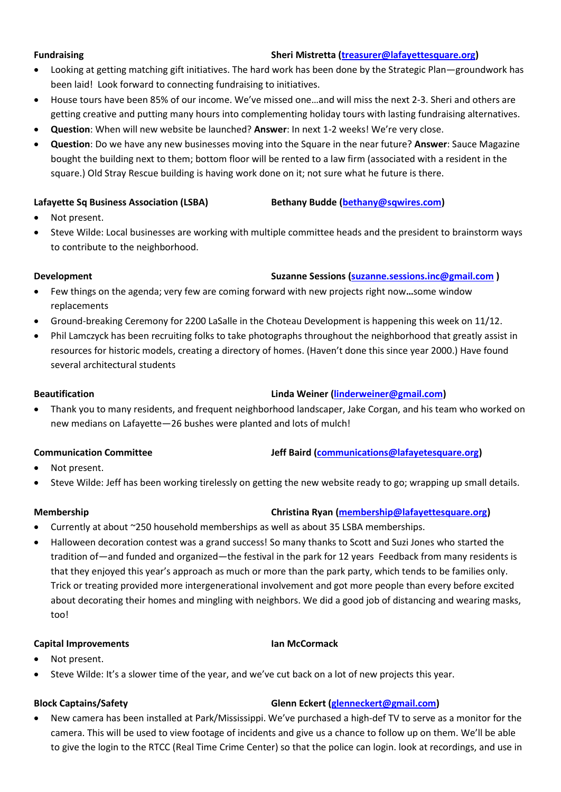### **Fundraising Sheri Mistretta [\(treasurer@lafayettesquare.org\)](mailto:treasurer@lafayettesquare.org)**

- Looking at getting matching gift initiatives. The hard work has been done by the Strategic Plan—groundwork has been laid! Look forward to connecting fundraising to initiatives.
- House tours have been 85% of our income. We've missed one…and will miss the next 2-3. Sheri and others are getting creative and putting many hours into complementing holiday tours with lasting fundraising alternatives.
- **Question**: When will new website be launched? **Answer**: In next 1-2 weeks! We're very close.
- **Question**: Do we have any new businesses moving into the Square in the near future? **Answer**: Sauce Magazine bought the building next to them; bottom floor will be rented to a law firm (associated with a resident in the square.) Old Stray Rescue building is having work done on it; not sure what he future is there.

### **Lafayette Sq Business Association (LSBA) Bethany Budde [\(bethany@sqwires.com\)](mailto:bethany@sqwires.com)**

- Not present.
- Steve Wilde: Local businesses are working with multiple committee heads and the president to brainstorm ways to contribute to the neighborhood.

### **Development Suzanne Sessions [\(suzanne.sessions.inc@gmail.com](mailto:suzanne.sessions.inc@gmail.com) )**

- Few things on the agenda; very few are coming forward with new projects right now**…**some window replacements
- Ground-breaking Ceremony for 2200 LaSalle in the Choteau Development is happening this week on 11/12.
- Phil Lamczyck has been recruiting folks to take photographs throughout the neighborhood that greatly assist in resources for historic models, creating a directory of homes. (Haven't done this since year 2000.) Have found several architectural students

### **Beautification Linda Weiner [\(linderweiner@gmail.com\)](mailto:linderweiner@gmail.com)**

• Thank you to many residents, and frequent neighborhood landscaper, Jake Corgan, and his team who worked on new medians on Lafayette—26 bushes were planted and lots of mulch!

# **Communication Committee Jeff Baird [\(communications@lafayetesquare.org\)](mailto:communications@lafayetesquare.org)**

- Not present.
- Steve Wilde: Jeff has been working tirelessly on getting the new website ready to go; wrapping up small details.

- **Membership Christina Ryan [\(membership@lafayettesquare.org\)](mailto:membership@lafayettesquare.org)**
- Currently at about ~250 household memberships as well as about 35 LSBA memberships.
- Halloween decoration contest was a grand success! So many thanks to Scott and Suzi Jones who started the tradition of—and funded and organized—the festival in the park for 12 years Feedback from many residents is that they enjoyed this year's approach as much or more than the park party, which tends to be families only. Trick or treating provided more intergenerational involvement and got more people than every before excited about decorating their homes and mingling with neighbors. We did a good job of distancing and wearing masks, too!

### **Capital Improvements Ian McCormack**

- Not present.
- Steve Wilde: It's a slower time of the year, and we've cut back on a lot of new projects this year.

- **Block Captains/Safety Glenn Eckert [\(glenneckert@gmail.com\)](mailto:glenneckert@gmail.com)**
- New camera has been installed at Park/Mississippi. We've purchased a high-def TV to serve as a monitor for the camera. This will be used to view footage of incidents and give us a chance to follow up on them. We'll be able to give the login to the RTCC (Real Time Crime Center) so that the police can login. look at recordings, and use in